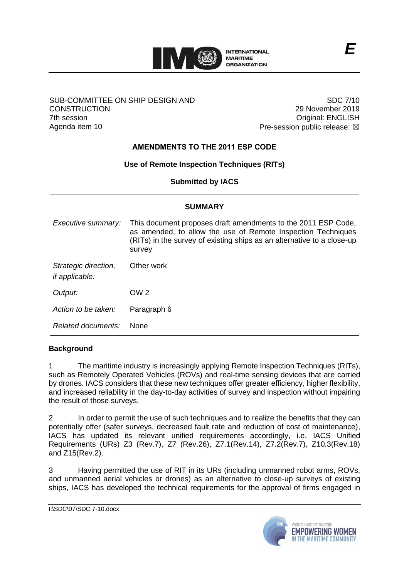

#### SUB-COMMITTEE ON SHIP DESIGN AND **CONSTRUCTION** 7th session Agenda item 10

SDC 7/10 29 November 2019 Original: ENGLISH Pre-session public release:  $\boxtimes$ 

# **AMENDMENTS TO THE 2011 ESP CODE**

## **Use of Remote Inspection Techniques (RITs)**

**Submitted by IACS**

| <b>SUMMARY</b>                                |                                                                                                                                                                                                                   |
|-----------------------------------------------|-------------------------------------------------------------------------------------------------------------------------------------------------------------------------------------------------------------------|
| Executive summary:                            | This document proposes draft amendments to the 2011 ESP Code,<br>as amended, to allow the use of Remote Inspection Techniques<br>(RITs) in the survey of existing ships as an alternative to a close-up<br>survey |
| Strategic direction,<br><i>if applicable:</i> | Other work                                                                                                                                                                                                        |
| Output:                                       | OW <sub>2</sub>                                                                                                                                                                                                   |
| Action to be taken:                           | Paragraph 6                                                                                                                                                                                                       |
| Related documents:                            | <b>None</b>                                                                                                                                                                                                       |

### **Background**

1 The maritime industry is increasingly applying Remote Inspection Techniques (RITs), such as Remotely Operated Vehicles (ROVs) and real-time sensing devices that are carried by drones. IACS considers that these new techniques offer greater efficiency, higher flexibility, and increased reliability in the day-to-day activities of survey and inspection without impairing the result of those surveys.

2 In order to permit the use of such techniques and to realize the benefits that they can potentially offer (safer surveys, decreased fault rate and reduction of cost of maintenance), IACS has updated its relevant unified requirements accordingly, i.e. IACS Unified Requirements (URs) Z3 (Rev.7), Z7 (Rev.26), Z7.1(Rev.14), Z7.2(Rev.7), Z10.3(Rev.18) and Z15(Rev.2).

3 Having permitted the use of RIT in its URs (including unmanned robot arms, ROVs, and unmanned aerial vehicles or drones) as an alternative to close-up surveys of existing ships, IACS has developed the technical requirements for the approval of firms engaged in

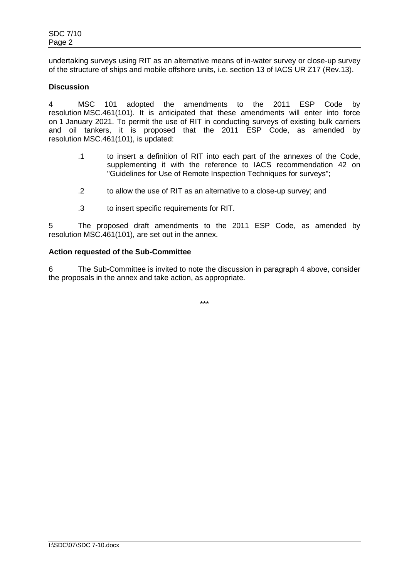undertaking surveys using RIT as an alternative means of in-water survey or close-up survey of the structure of ships and mobile offshore units, i.e. section 13 of IACS UR Z17 (Rev.13).

### **Discussion**

4 MSC 101 adopted the amendments to the 2011 ESP Code by resolution MSC.461(101). It is anticipated that these amendments will enter into force on 1 January 2021. To permit the use of RIT in conducting surveys of existing bulk carriers and oil tankers, it is proposed that the 2011 ESP Code, as amended by resolution MSC.461(101), is updated:

- .1 to insert a definition of RIT into each part of the annexes of the Code, supplementing it with the reference to IACS recommendation 42 on "Guidelines for Use of Remote Inspection Techniques for surveys";
- .2 to allow the use of RIT as an alternative to a close-up survey; and
- .3 to insert specific requirements for RIT.

5 The proposed draft amendments to the 2011 ESP Code, as amended by resolution MSC.461(101), are set out in the annex.

#### **Action requested of the Sub-Committee**

6 The Sub-Committee is invited to note the discussion in paragraph 4 above, consider the proposals in the annex and take action, as appropriate.

\*\*\*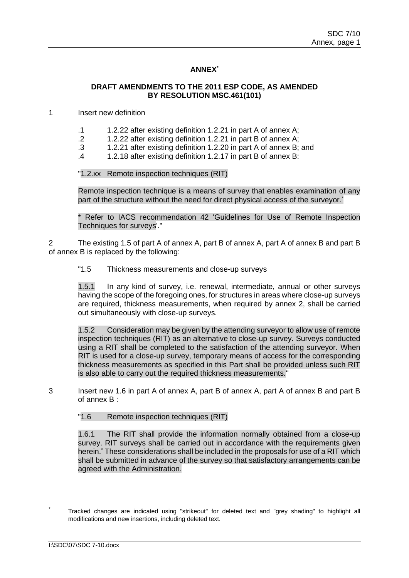## **ANNEX\***

### **DRAFT AMENDMENTS TO THE 2011 ESP CODE, AS AMENDED BY RESOLUTION MSC.461(101)**

1 Insert new definition

- .1 1.2.22 after existing definition 1.2.21 in part A of annex A;
- .2 1.2.22 after existing definition 1.2.21 in part B of annex A;
- .3 1.2.21 after existing definition 1.2.20 in part A of annex B; and
- .4 1.2.18 after existing definition 1.2.17 in part B of annex B:

"1.2.xx Remote inspection techniques (RIT)

Remote inspection technique is a means of survey that enables examination of any part of the structure without the need for direct physical access of the surveyor.<sup>\*</sup>

Refer to IACS recommendation 42 'Guidelines for Use of Remote Inspection Techniques for surveys'."

2 The existing 1.5 of part A of annex A, part B of annex A, part A of annex B and part B of annex B is replaced by the following:

"1.5 Thickness measurements and close-up surveys

1.5.1 In any kind of survey, i.e. renewal, intermediate, annual or other surveys having the scope of the foregoing ones, for structures in areas where close-up surveys are required, thickness measurements, when required by annex 2, shall be carried out simultaneously with close-up surveys.

1.5.2 Consideration may be given by the attending surveyor to allow use of remote inspection techniques (RIT) as an alternative to close-up survey. Surveys conducted using a RIT shall be completed to the satisfaction of the attending surveyor. When RIT is used for a close-up survey, temporary means of access for the corresponding thickness measurements as specified in this Part shall be provided unless such RIT is also able to carry out the required thickness measurements."

3 Insert new 1.6 in part A of annex A, part B of annex A, part A of annex B and part B of annex B :

"1.6 Remote inspection techniques (RIT)

1.6.1 The RIT shall provide the information normally obtained from a close-up survey. RIT surveys shall be carried out in accordance with the requirements given herein.<sup>\*</sup> These considerations shall be included in the proposals for use of a RIT which shall be submitted in advance of the survey so that satisfactory arrangements can be agreed with the Administration.

Tracked changes are indicated using "strikeout" for deleted text and "grey shading" to highlight all modifications and new insertions, including deleted text.